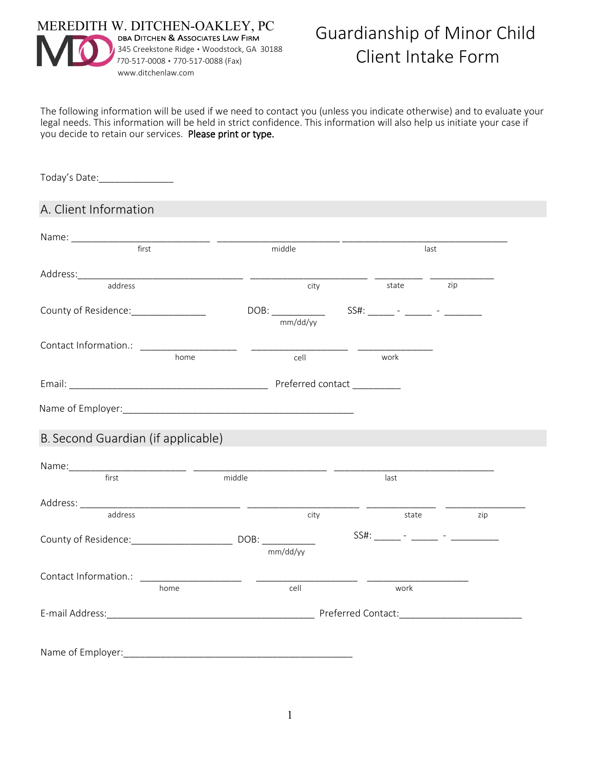

The following information will be used if we need to contact you (unless you indicate otherwise) and to evaluate your legal needs. This information will be held in strict confidence. This information will also help us initiate your case if you decide to retain our services. Please print or type.

Today's Date:\_\_\_\_\_\_\_\_\_\_\_\_\_\_

## A. Client Information

| first                                                                    |      | middle   |  | last  |     |
|--------------------------------------------------------------------------|------|----------|--|-------|-----|
|                                                                          |      |          |  |       |     |
| address                                                                  |      | city     |  | state | zip |
| County of Residence: ______________                                      |      |          |  |       |     |
|                                                                          |      |          |  |       |     |
|                                                                          | home |          |  | work  |     |
|                                                                          |      | cell     |  |       |     |
|                                                                          |      |          |  |       |     |
|                                                                          |      |          |  |       |     |
|                                                                          |      |          |  |       |     |
|                                                                          |      |          |  |       |     |
|                                                                          |      |          |  |       |     |
|                                                                          |      |          |  |       |     |
|                                                                          |      |          |  | last  |     |
|                                                                          |      |          |  |       |     |
| B. Second Guardian (if applicable)<br>Name: rist first middle<br>address |      | city     |  | state | zip |
|                                                                          |      |          |  |       |     |
|                                                                          |      | mm/dd/yy |  |       |     |
|                                                                          |      |          |  |       |     |
|                                                                          | home | cell     |  | work  |     |
|                                                                          |      |          |  |       |     |